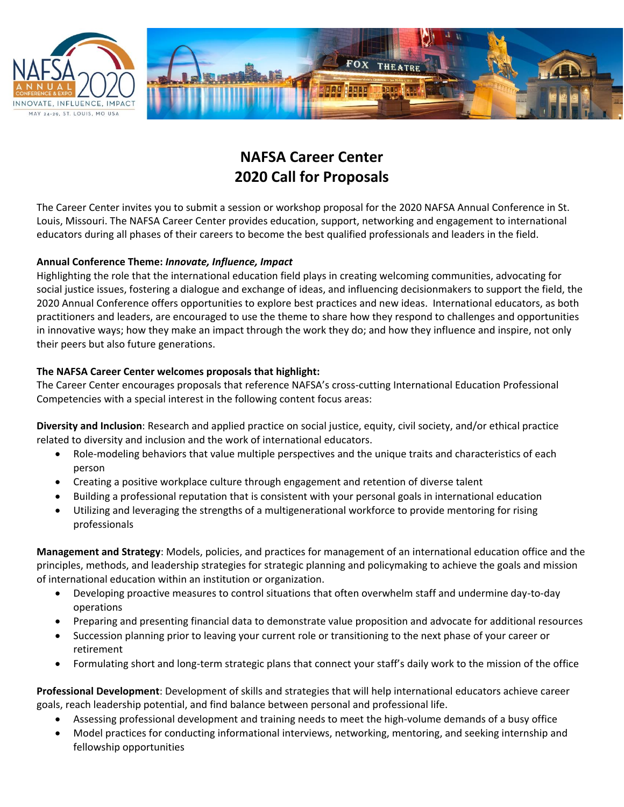



## **NAFSA Career Center 2020 Call for Proposals**

The Career Center invites you to submit a session or workshop proposal for the 2020 NAFSA Annual Conference in St. Louis, Missouri. The NAFSA Career Center provides education, support, networking and engagement to international educators during all phases of their careers to become the best qualified professionals and leaders in the field.

## **Annual Conference Theme:** *Innovate, Influence, Impact*

Highlighting the role that the international education field plays in creating welcoming communities, advocating for social justice issues, fostering a dialogue and exchange of ideas, and influencing decisionmakers to support the field, the 2020 Annual Conference offers opportunities to explore best practices and new ideas. International educators, as both practitioners and leaders, are encouraged to use the theme to share how they respond to challenges and opportunities in innovative ways; how they make an impact through the work they do; and how they influence and inspire, not only their peers but also future generations.

## **The NAFSA Career Center welcomes proposals that highlight:**

The Career Center encourages proposals that reference NAFSA's cross-cutting International Education Professional Competencies with a special interest in the following content focus areas:

**Diversity and Inclusion**: Research and applied practice on social justice, equity, civil society, and/or ethical practice related to diversity and inclusion and the work of international educators.

- Role-modeling behaviors that value multiple perspectives and the unique traits and characteristics of each person
- Creating a positive workplace culture through engagement and retention of diverse talent
- Building a professional reputation that is consistent with your personal goals in international education
- Utilizing and leveraging the strengths of a multigenerational workforce to provide mentoring for rising professionals

**Management and Strategy**: Models, policies, and practices for management of an international education office and the principles, methods, and leadership strategies for strategic planning and policymaking to achieve the goals and mission of international education within an institution or organization.

- Developing proactive measures to control situations that often overwhelm staff and undermine day-to-day operations
- Preparing and presenting financial data to demonstrate value proposition and advocate for additional resources
- Succession planning prior to leaving your current role or transitioning to the next phase of your career or retirement
- Formulating short and long-term strategic plans that connect your staff's daily work to the mission of the office

**Professional Development**: Development of skills and strategies that will help international educators achieve career goals, reach leadership potential, and find balance between personal and professional life.

- Assessing professional development and training needs to meet the high-volume demands of a busy office
- Model practices for conducting informational interviews, networking, mentoring, and seeking internship and fellowship opportunities